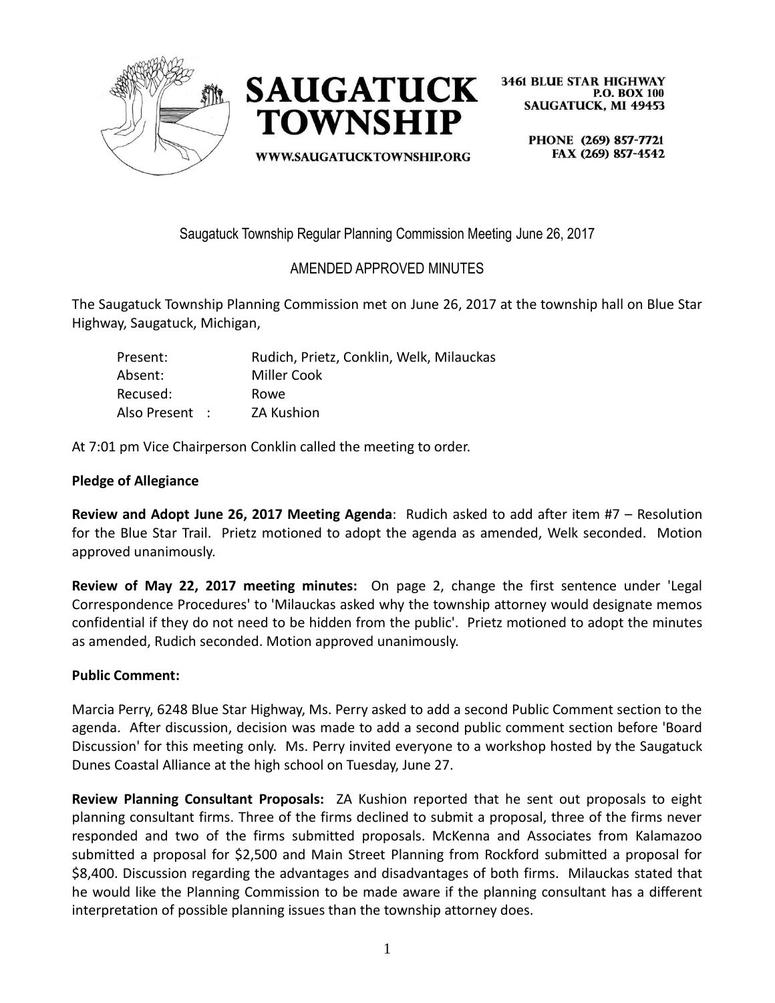



WWW.SAUGATUCKTOWNSHIP.ORG

**3461 BLUE STAR HIGHWAY P.O. BOX 100 SAUGATUCK. MI 49453** 

PHONE (269) 857-7721 FAX (269) 857-4542

Saugatuck Township Regular Planning Commission Meeting June 26, 2017

# AMENDED APPROVED MINUTES

The Saugatuck Township Planning Commission met on June 26, 2017 at the township hall on Blue Star Highway, Saugatuck, Michigan,

| Present:       | Rudich, Prietz, Conklin, Welk, Milauckas |
|----------------|------------------------------------------|
| Absent:        | Miller Cook                              |
| Recused:       | Rowe                                     |
| Also Present : | <b>ZA Kushion</b>                        |

At 7:01 pm Vice Chairperson Conklin called the meeting to order.

### **Pledge of Allegiance**

**Review and Adopt June 26, 2017 Meeting Agenda**: Rudich asked to add after item #7 – Resolution for the Blue Star Trail. Prietz motioned to adopt the agenda as amended, Welk seconded. Motion approved unanimously.

**Review of May 22, 2017 meeting minutes:** On page 2, change the first sentence under 'Legal Correspondence Procedures' to 'Milauckas asked why the township attorney would designate memos confidential if they do not need to be hidden from the public'. Prietz motioned to adopt the minutes as amended, Rudich seconded. Motion approved unanimously.

## **Public Comment:**

Marcia Perry, 6248 Blue Star Highway, Ms. Perry asked to add a second Public Comment section to the agenda. After discussion, decision was made to add a second public comment section before 'Board Discussion' for this meeting only. Ms. Perry invited everyone to a workshop hosted by the Saugatuck Dunes Coastal Alliance at the high school on Tuesday, June 27.

**Review Planning Consultant Proposals:** ZA Kushion reported that he sent out proposals to eight planning consultant firms. Three of the firms declined to submit a proposal, three of the firms never responded and two of the firms submitted proposals. McKenna and Associates from Kalamazoo submitted a proposal for \$2,500 and Main Street Planning from Rockford submitted a proposal for \$8,400. Discussion regarding the advantages and disadvantages of both firms. Milauckas stated that he would like the Planning Commission to be made aware if the planning consultant has a different interpretation of possible planning issues than the township attorney does.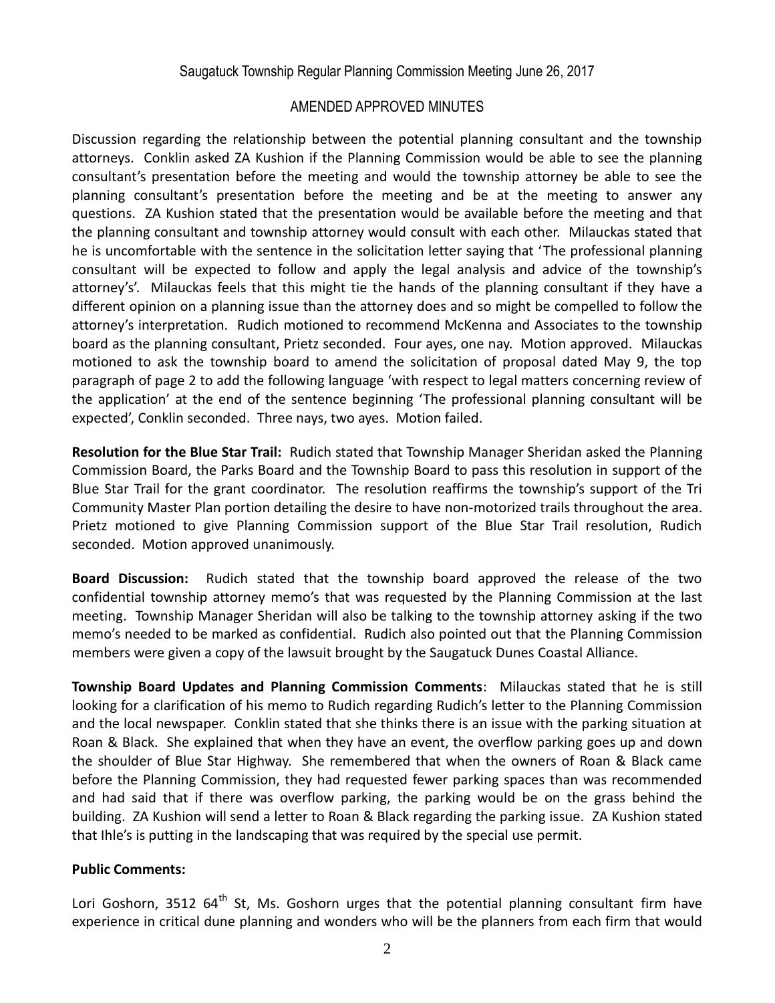### AMENDED APPROVED MINUTES

Discussion regarding the relationship between the potential planning consultant and the township attorneys. Conklin asked ZA Kushion if the Planning Commission would be able to see the planning consultant's presentation before the meeting and would the township attorney be able to see the planning consultant's presentation before the meeting and be at the meeting to answer any questions. ZA Kushion stated that the presentation would be available before the meeting and that the planning consultant and township attorney would consult with each other. Milauckas stated that he is uncomfortable with the sentence in the solicitation letter saying that 'The professional planning consultant will be expected to follow and apply the legal analysis and advice of the township's attorney's'. Milauckas feels that this might tie the hands of the planning consultant if they have a different opinion on a planning issue than the attorney does and so might be compelled to follow the attorney's interpretation. Rudich motioned to recommend McKenna and Associates to the township board as the planning consultant, Prietz seconded. Four ayes, one nay. Motion approved. Milauckas motioned to ask the township board to amend the solicitation of proposal dated May 9, the top paragraph of page 2 to add the following language 'with respect to legal matters concerning review of the application' at the end of the sentence beginning 'The professional planning consultant will be expected', Conklin seconded. Three nays, two ayes. Motion failed.

**Resolution for the Blue Star Trail:** Rudich stated that Township Manager Sheridan asked the Planning Commission Board, the Parks Board and the Township Board to pass this resolution in support of the Blue Star Trail for the grant coordinator. The resolution reaffirms the township's support of the Tri Community Master Plan portion detailing the desire to have non-motorized trails throughout the area. Prietz motioned to give Planning Commission support of the Blue Star Trail resolution, Rudich seconded. Motion approved unanimously.

**Board Discussion:** Rudich stated that the township board approved the release of the two confidential township attorney memo's that was requested by the Planning Commission at the last meeting. Township Manager Sheridan will also be talking to the township attorney asking if the two memo's needed to be marked as confidential. Rudich also pointed out that the Planning Commission members were given a copy of the lawsuit brought by the Saugatuck Dunes Coastal Alliance.

**Township Board Updates and Planning Commission Comments**: Milauckas stated that he is still looking for a clarification of his memo to Rudich regarding Rudich's letter to the Planning Commission and the local newspaper. Conklin stated that she thinks there is an issue with the parking situation at Roan & Black. She explained that when they have an event, the overflow parking goes up and down the shoulder of Blue Star Highway. She remembered that when the owners of Roan & Black came before the Planning Commission, they had requested fewer parking spaces than was recommended and had said that if there was overflow parking, the parking would be on the grass behind the building. ZA Kushion will send a letter to Roan & Black regarding the parking issue. ZA Kushion stated that Ihle's is putting in the landscaping that was required by the special use permit.

#### **Public Comments:**

Lori Goshorn, 3512 64<sup>th</sup> St, Ms. Goshorn urges that the potential planning consultant firm have experience in critical dune planning and wonders who will be the planners from each firm that would